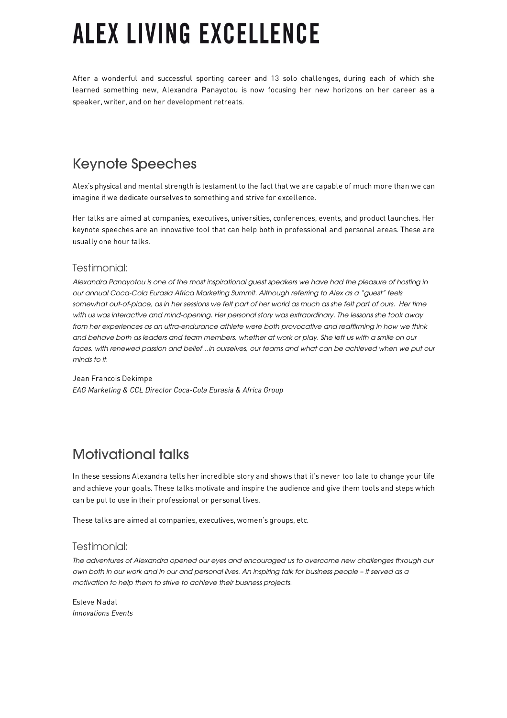# **ALEX LIVING EXCELLENCE**

After a wonderful and successful sporting career and 13 solo challenges, during each of which she learned something new, Alexandra Panayotou is now focusing her new horizons on her career as a speaker, writer, and on her development retreats.

# Keynote Speeches

Alex's physical and mental strength is testament to the fact that we are capable of much more than we can imagine if we dedicate ourselves to something and strive for excellence.

Her talks are aimed at companies, executives, universities, conferences, events, and product launches. Her keynote speeches are an innovative tool that can help both in professional and personal areas. These are usually one hour talks.

#### Testimonial:

*Alexandra Panayotou is one of the most inspirational guest speakers we have had the pleasure of hosting in our annual Coca-Cola Eurasia Africa Marketing Summit. Although referring to Alex as a "guest" feels*  somewhat out-of-place, as in her sessions we felt part of her world as much as she felt part of ours. Her time *with us was interactive and mind-opening. Her personal story was extraordinary. The lessons she took away from her experiences as an ultra-endurance athlete were both provocative and reaffirming in how we think and behave both as leaders and team members, whether at work or play. She left us with a smile on our*  faces, with renewed passion and belief...in ourselves, our teams and what can be achieved when we put our *minds to it.*

Jean Francois Dekimpe *EAG Marketing & CCL Director Coca-Cola Eurasia & Africa Group*

#### Motivational talks

In these sessions Alexandra tells her incredible story and shows that it's never too late to change your life and achieve your goals. These talks motivate and inspire the audience and give them tools and steps which can be put to use in their professional or personal lives.

These talks are aimed at companies, executives, women's groups, etc.

#### Testimonial:

*The adventures of Alexandra opened our eyes and encouraged us to overcome new challenges through our own both in our work and in our and personal lives. An inspiring talk for business people – it served as a motivation to help them to strive to achieve their business projects.*

Esteve Nadal *Innovations Events*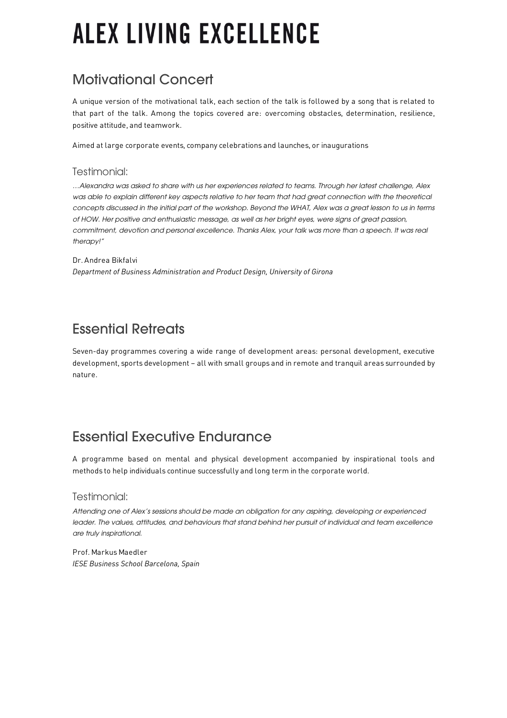# **ALEX LIVING EXCELLENCE**

# Motivational Concert

A unique version of the motivational talk, each section of the talk is followed by a song that is related to that part of the talk. Among the topics covered are: overcoming obstacles, determination, resilience, positive attitude, and teamwork.

Aimed at large corporate events, company celebrations and launches, or inaugurations

#### Testimonial:

*…Alexandra was asked to share with us her experiences related to teams. Through her latest challenge, Alex*  was able to explain different key aspects relative to her team that had great connection with the theoretical *concepts discussed in the initial part of the workshop. Beyond the WHAT, Alex was a great lesson to us in terms of HOW. Her positive and enthusiastic message, as well as her bright eyes, were signs of great passion, commitment, devotion and personal excellence. Thanks Alex, your talk was more than a speech. It was real therapy!"*

Dr. Andrea Bikfalvi *Department of Business Administration and Product Design, University of Girona*

## Essential Retreats

Seven-day programmes covering a wide range of development areas: personal development, executive development, sports development – all with small groups and in remote and tranquil areas surrounded by nature.

### Essential Executive Endurance

A programme based on mental and physical development accompanied by inspirational tools and methods to help individuals continue successfully and long term in the corporate world.

#### Testimonial:

*Attending one of Alex's sessions should be made an obligation for any aspiring, developing or experienced leader. The values, attitudes, and behaviours that stand behind her pursuit of individual and team excellence are truly inspirational.*

Prof. Markus Maedler *IESE Business School Barcelona, Spain*